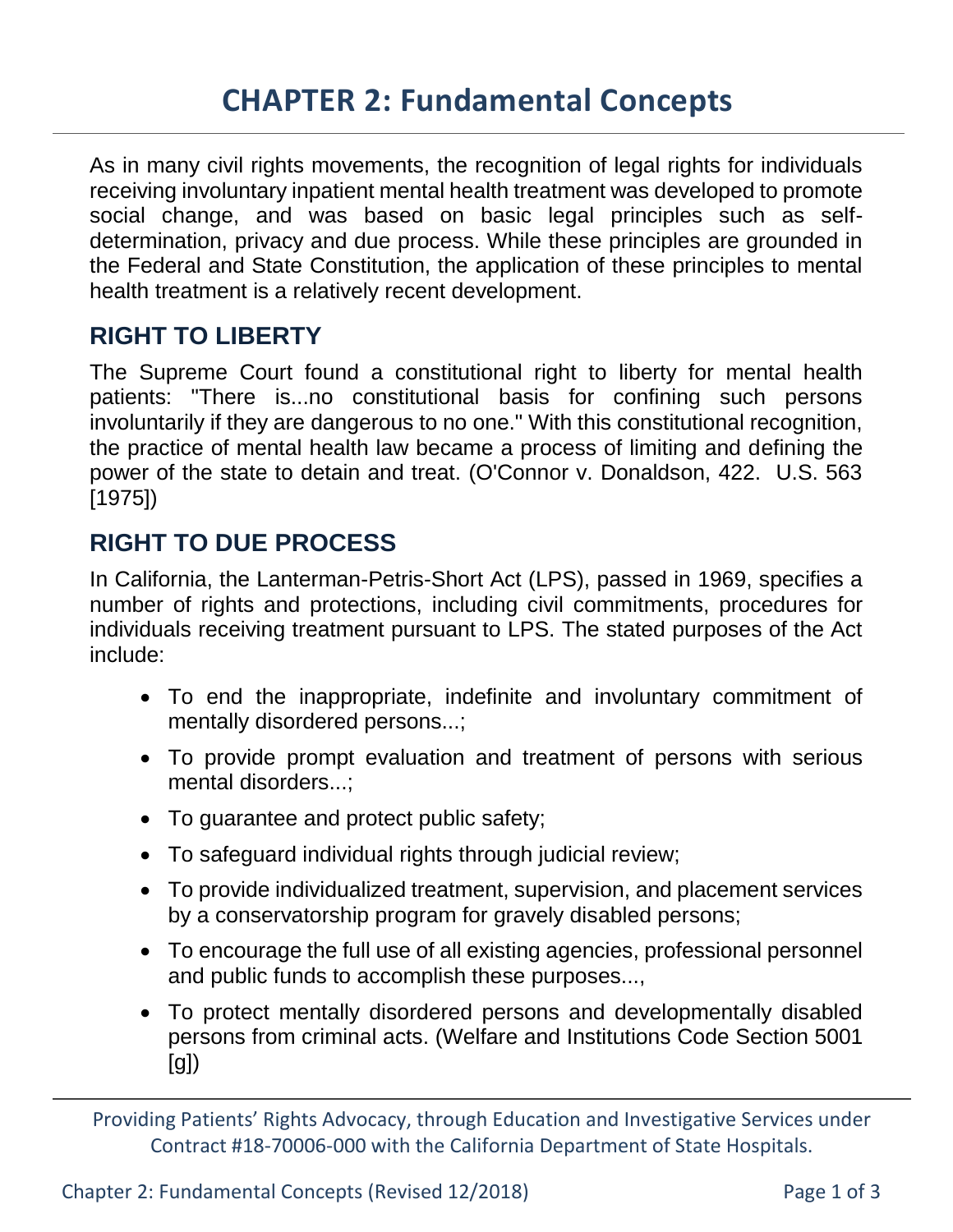As in many civil rights movements, the recognition of legal rights for individuals receiving involuntary inpatient mental health treatment was developed to promote social change, and was based on basic legal principles such as selfdetermination, privacy and due process. While these principles are grounded in the Federal and State Constitution, the application of these principles to mental health treatment is a relatively recent development.

#### **RIGHT TO LIBERTY**

The Supreme Court found a constitutional right to liberty for mental health patients: "There is...no constitutional basis for confining such persons involuntarily if they are dangerous to no one." With this constitutional recognition, the practice of mental health law became a process of limiting and defining the power of the state to detain and treat. (O'Connor v. Donaldson, 422. U.S. 563 [1975])

#### **RIGHT TO DUE PROCESS**

In California, the Lanterman-Petris-Short Act (LPS), passed in 1969, specifies a number of rights and protections, including civil commitments, procedures for individuals receiving treatment pursuant to LPS. The stated purposes of the Act include:

- To end the inappropriate, indefinite and involuntary commitment of mentally disordered persons...;
- To provide prompt evaluation and treatment of persons with serious mental disorders...;
- To guarantee and protect public safety;
- To safeguard individual rights through judicial review;
- To provide individualized treatment, supervision, and placement services by a conservatorship program for gravely disabled persons;
- To encourage the full use of all existing agencies, professional personnel and public funds to accomplish these purposes...,
- To protect mentally disordered persons and developmentally disabled persons from criminal acts. (Welfare and Institutions Code Section 5001 [g])

Providing Patients' Rights Advocacy, through Education and Investigative Services under Contract #18-70006-000 with the California Department of State Hospitals.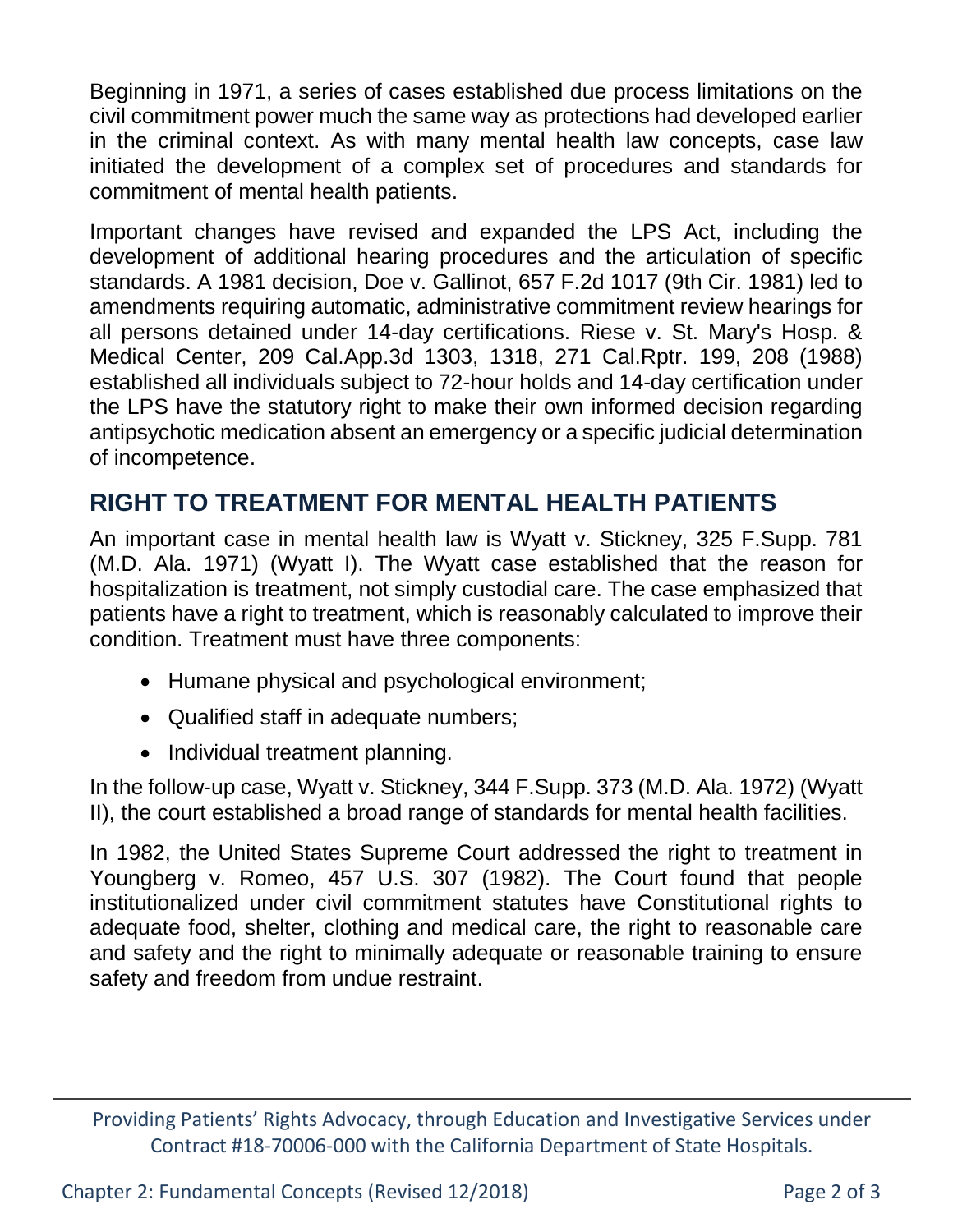Beginning in 1971, a series of cases established due process limitations on the civil commitment power much the same way as protections had developed earlier in the criminal context. As with many mental health law concepts, case law initiated the development of a complex set of procedures and standards for commitment of mental health patients.

Important changes have revised and expanded the LPS Act, including the development of additional hearing procedures and the articulation of specific standards. A 1981 decision, Doe v. Gallinot, 657 F.2d 1017 (9th Cir. 1981) led to amendments requiring automatic, administrative commitment review hearings for all persons detained under 14-day certifications. Riese v. St. Mary's Hosp. & Medical Center, 209 Cal.App.3d 1303, 1318, 271 Cal.Rptr. 199, 208 (1988) established all individuals subject to 72-hour holds and 14-day certification under the LPS have the statutory right to make their own informed decision regarding antipsychotic medication absent an emergency or a specific judicial determination of incompetence.

### **RIGHT TO TREATMENT FOR MENTAL HEALTH PATIENTS**

An important case in mental health law is Wyatt v. Stickney, 325 F.Supp. 781 (M.D. Ala. 1971) (Wyatt I). The Wyatt case established that the reason for hospitalization is treatment, not simply custodial care. The case emphasized that patients have a right to treatment, which is reasonably calculated to improve their condition. Treatment must have three components:

- Humane physical and psychological environment;
- Qualified staff in adequate numbers;
- Individual treatment planning.

In the follow-up case, Wyatt v. Stickney, 344 F.Supp. 373 (M.D. Ala. 1972) (Wyatt II), the court established a broad range of standards for mental health facilities.

In 1982, the United States Supreme Court addressed the right to treatment in Youngberg v. Romeo, 457 U.S. 307 (1982). The Court found that people institutionalized under civil commitment statutes have Constitutional rights to adequate food, shelter, clothing and medical care, the right to reasonable care and safety and the right to minimally adequate or reasonable training to ensure safety and freedom from undue restraint.

Providing Patients' Rights Advocacy, through Education and Investigative Services under Contract #18-70006-000 with the California Department of State Hospitals.